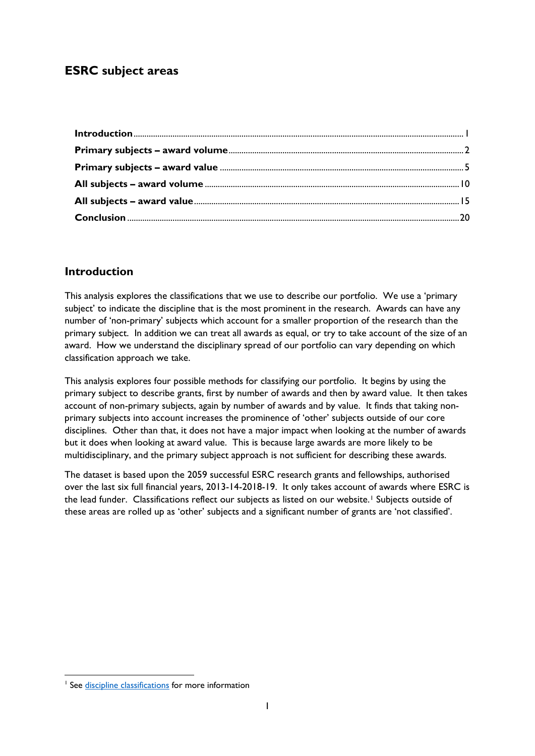# **ESRC subject areas**

## <span id="page-0-0"></span>**Introduction**

This analysis explores the classifications that we use to describe our portfolio. We use a 'primary subject' to indicate the discipline that is the most prominent in the research. Awards can have any number of 'non-primary' subjects which account for a smaller proportion of the research than the primary subject. In addition we can treat all awards as equal, or try to take account of the size of an award. How we understand the disciplinary spread of our portfolio can vary depending on which classification approach we take.

This analysis explores four possible methods for classifying our portfolio. It begins by using the primary subject to describe grants, first by number of awards and then by award value. It then takes account of non-primary subjects, again by number of awards and by value. It finds that taking nonprimary subjects into account increases the prominence of 'other' subjects outside of our core disciplines. Other than that, it does not have a major impact when looking at the number of awards but it does when looking at award value. This is because large awards are more likely to be multidisciplinary, and the primary subject approach is not sufficient for describing these awards.

The dataset is based upon the 2059 successful ESRC research grants and fellowships, authorised over the last six full financial years, 2013-14-2018-19. It only takes account of awards where ESRC is the lead funder. Classifications reflect our subjects as listed on our website.<sup>[1](#page-0-1)</sup> Subjects outside of these areas are rolled up as 'other' subjects and a significant number of grants are 'not classified'.

<span id="page-0-1"></span><sup>&</sup>lt;sup>1</sup> See [discipline classifications](https://esrc.ukri.org/funding/guidance-for-applicants/is-my-research-suitable-for-esrc-funding/discipline-classifications/) for more information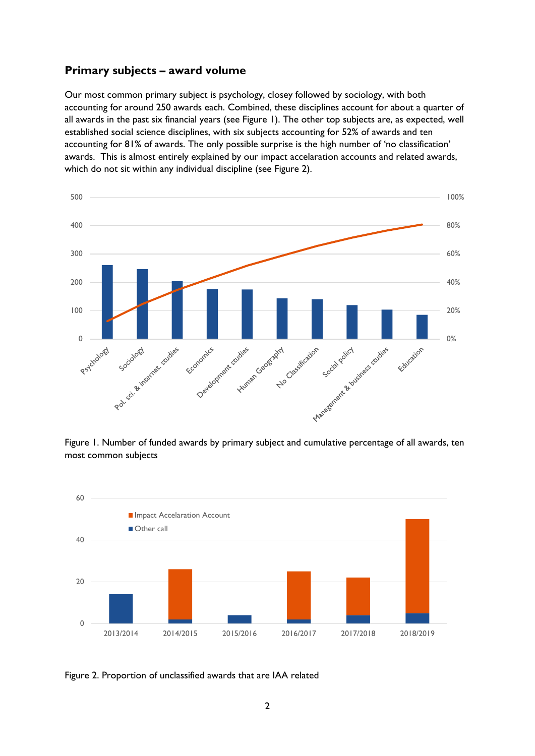### <span id="page-1-0"></span>**Primary subjects – award volume**

Our most common primary subject is psychology, closey followed by sociology, with both accounting for around 250 awards each. Combined, these disciplines account for about a quarter of all awards in the past six financial years (see Figure 1). The other top subjects are, as expected, well established social science disciplines, with six subjects accounting for 52% of awards and ten accounting for 81% of awards. The only possible surprise is the high number of 'no classification' awards. This is almost entirely explained by our impact accelaration accounts and related awards, which do not sit within any individual discipline (see Figure 2).



Figure 1. Number of funded awards by primary subject and cumulative percentage of all awards, ten most common subjects



Figure 2. Proportion of unclassified awards that are IAA related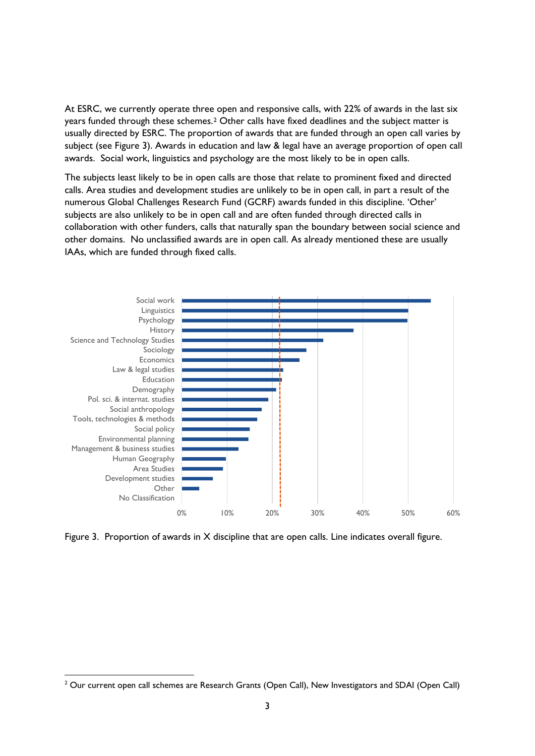At ESRC, we currently operate three open and responsive calls, with 22% of awards in the last six years funded through these schemes.[2](#page-2-0) Other calls have fixed deadlines and the subject matter is usually directed by ESRC. The proportion of awards that are funded through an open call varies by subject (see Figure 3). Awards in education and law & legal have an average proportion of open call awards. Social work, linguistics and psychology are the most likely to be in open calls.

The subjects least likely to be in open calls are those that relate to prominent fixed and directed calls. Area studies and development studies are unlikely to be in open call, in part a result of the numerous Global Challenges Research Fund (GCRF) awards funded in this discipline. 'Other' subjects are also unlikely to be in open call and are often funded through directed calls in collaboration with other funders, calls that naturally span the boundary between social science and other domains. No unclassified awards are in open call. As already mentioned these are usually IAAs, which are funded through fixed calls.



Figure 3. Proportion of awards in X discipline that are open calls. Line indicates overall figure.

<span id="page-2-0"></span><sup>&</sup>lt;sup>2</sup> Our current open call schemes are Research Grants (Open Call), New Investigators and SDAI (Open Call)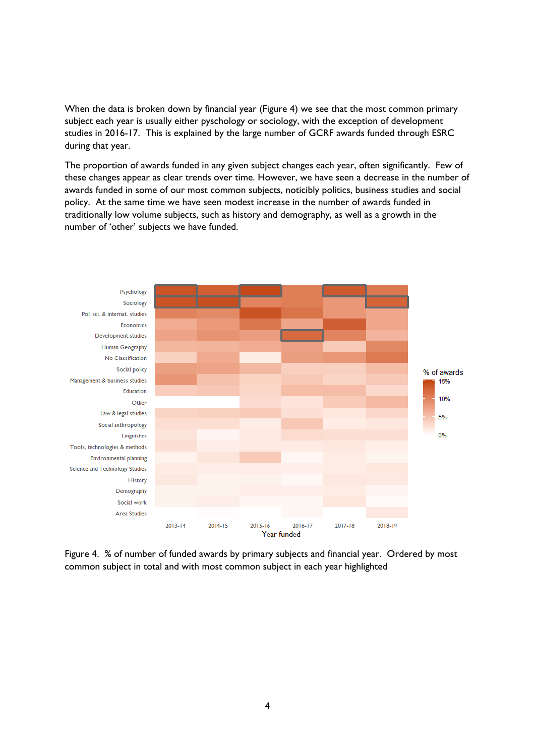When the data is broken down by financial year (Figure 4) we see that the most common primary subject each year is usually either pyschology or sociology, with the exception of development studies in 2016-17. This is explained by the large number of GCRF awards funded through ESRC during that year.

The proportion of awards funded in any given subject changes each year, often significantly. Few of these changes appear as clear trends over time. However, we have seen a decrease in the number of awards funded in some of our most common subjects, noticibly politics, business studies and social policy. At the same time we have seen modest increase in the number of awards funded in traditionally low volume subjects, such as history and demography, as well as a growth in the number of 'other' subjects we have funded.



Figure 4. % of number of funded awards by primary subjects and financial year. Ordered by most common subject in total and with most common subject in each year highlighted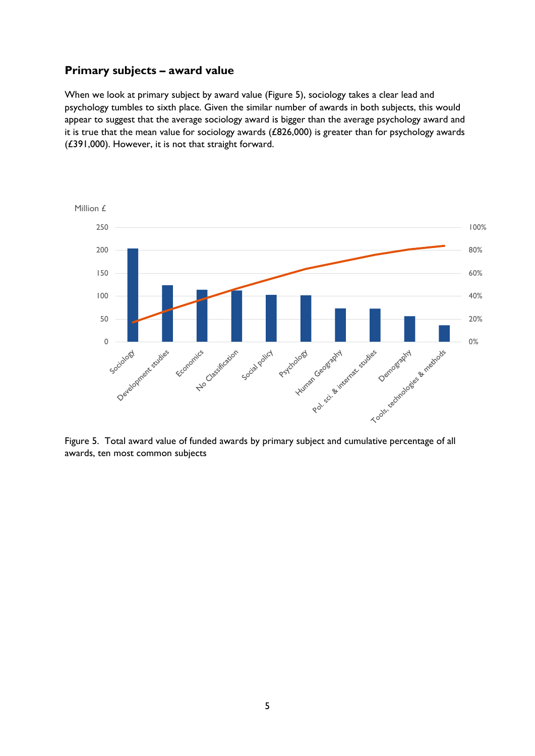#### <span id="page-4-0"></span>**Primary subjects – award value**

When we look at primary subject by award value (Figure 5), sociology takes a clear lead and psychology tumbles to sixth place. Given the similar number of awards in both subjects, this would appear to suggest that the average sociology award is bigger than the average psychology award and it is true that the mean value for sociology awards (£826,000) is greater than for psychology awards (£391,000). However, it is not that straight forward.



Figure 5. Total award value of funded awards by primary subject and cumulative percentage of all awards, ten most common subjects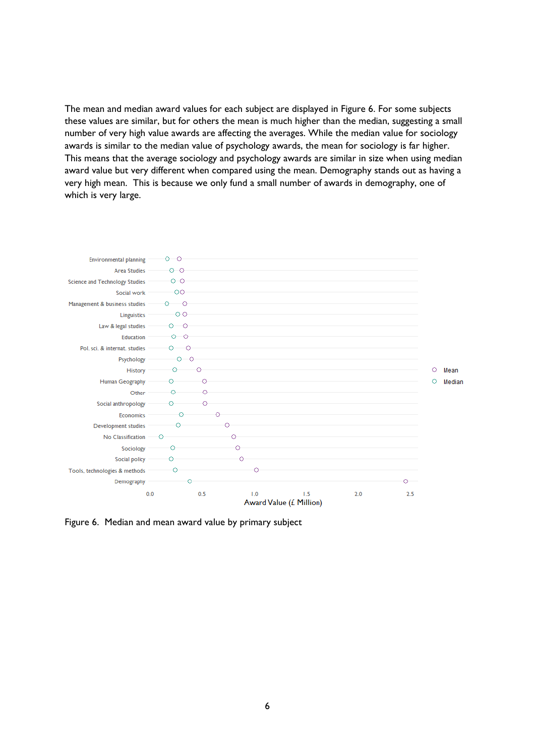The mean and median award values for each subject are displayed in Figure 6. For some subjects these values are similar, but for others the mean is much higher than the median, suggesting a small number of very high value awards are affecting the averages. While the median value for sociology awards is similar to the median value of psychology awards, the mean for sociology is far higher. This means that the average sociology and psychology awards are similar in size when using median award value but very different when compared using the mean. Demography stands out as having a very high mean. This is because we only fund a small number of awards in demography, one of which is very large.



Figure 6. Median and mean award value by primary subject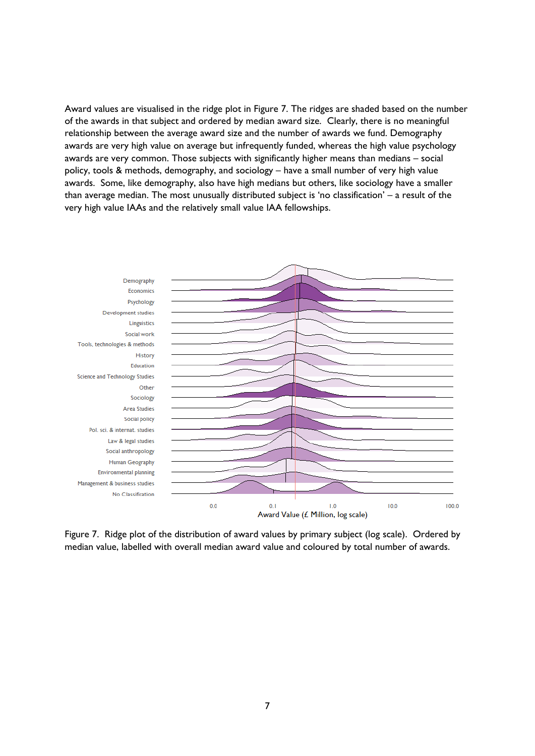Award values are visualised in the ridge plot in Figure 7. The ridges are shaded based on the number of the awards in that subject and ordered by median award size. Clearly, there is no meaningful relationship between the average award size and the number of awards we fund. Demography awards are very high value on average but infrequently funded, whereas the high value psychology awards are very common. Those subjects with significantly higher means than medians – social policy, tools & methods, demography, and sociology – have a small number of very high value awards. Some, like demography, also have high medians but others, like sociology have a smaller than average median. The most unusually distributed subject is 'no classification' – a result of the very high value IAAs and the relatively small value IAA fellowships.



Figure 7. Ridge plot of the distribution of award values by primary subject (log scale). Ordered by median value, labelled with overall median award value and coloured by total number of awards.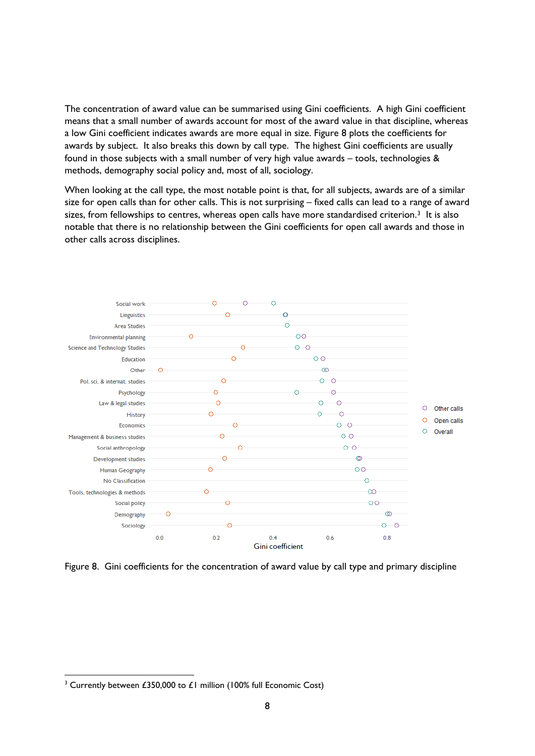The concentration of award value can be summarised using Gini coefficients. A high Gini coefficient means that a small number of awards account for most of the award value in that discipline, whereas a low Gini coefficient indicates awards are more equal in size. Figure 8 plots the coefficients for awards by subject. It also breaks this down by call type. The highest Gini coefficients are usually found in those subjects with a small number of very high value awards – tools, technologies & methods, demography social policy and, most of all, sociology.

When looking at the call type, the most notable point is that, for all subjects, awards are of a similar size for open calls than for other calls. This is not surprising – fixed calls can lead to a range of award sizes, from fellowships to centres, whereas open calls have more standardised criterion.<sup>[3](#page-7-0)</sup> It is also notable that there is no relationship between the Gini coefficients for open call awards and those in other calls across disciplines.



Figure 8. Gini coefficients for the concentration of award value by call type and primary discipline

<span id="page-7-0"></span><sup>&</sup>lt;sup>3</sup> Currently between £350,000 to £1 million (100% full Economic Cost)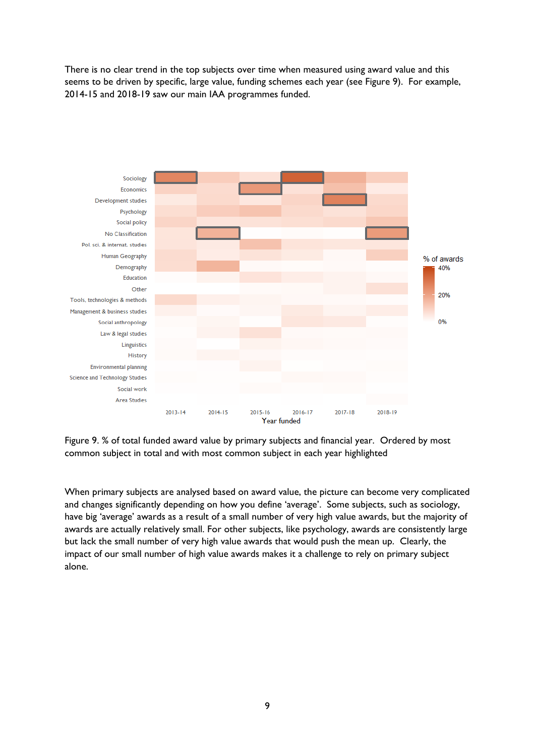There is no clear trend in the top subjects over time when measured using award value and this seems to be driven by specific, large value, funding schemes each year (see Figure 9). For example, 2014-15 and 2018-19 saw our main IAA programmes funded.



Figure 9. % of total funded award value by primary subjects and financial year. Ordered by most common subject in total and with most common subject in each year highlighted

When primary subjects are analysed based on award value, the picture can become very complicated and changes significantly depending on how you define 'average'. Some subjects, such as sociology, have big 'average' awards as a result of a small number of very high value awards, but the majority of awards are actually relatively small. For other subjects, like psychology, awards are consistently large but lack the small number of very high value awards that would push the mean up. Clearly, the impact of our small number of high value awards makes it a challenge to rely on primary subject alone.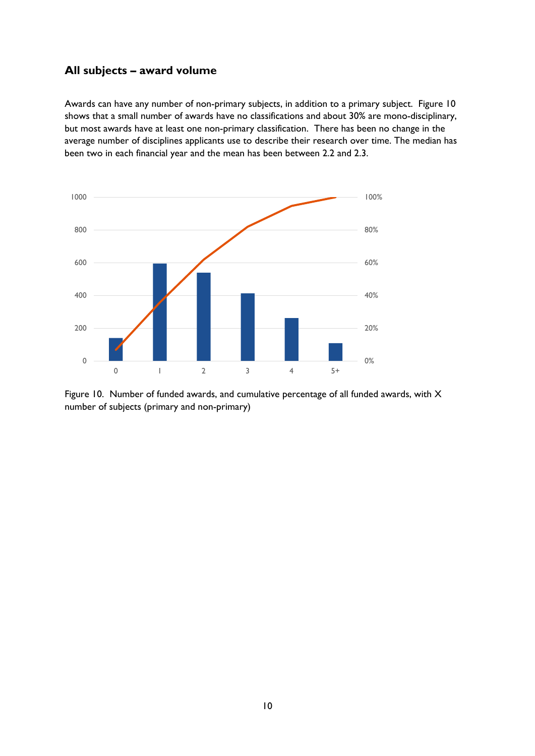### <span id="page-9-0"></span>**All subjects – award volume**

Awards can have any number of non-primary subjects, in addition to a primary subject. Figure 10 shows that a small number of awards have no classifications and about 30% are mono-disciplinary, but most awards have at least one non-primary classification. There has been no change in the average number of disciplines applicants use to describe their research over time. The median has been two in each financial year and the mean has been between 2.2 and 2.3.



Figure 10. Number of funded awards, and cumulative percentage of all funded awards, with X number of subjects (primary and non-primary)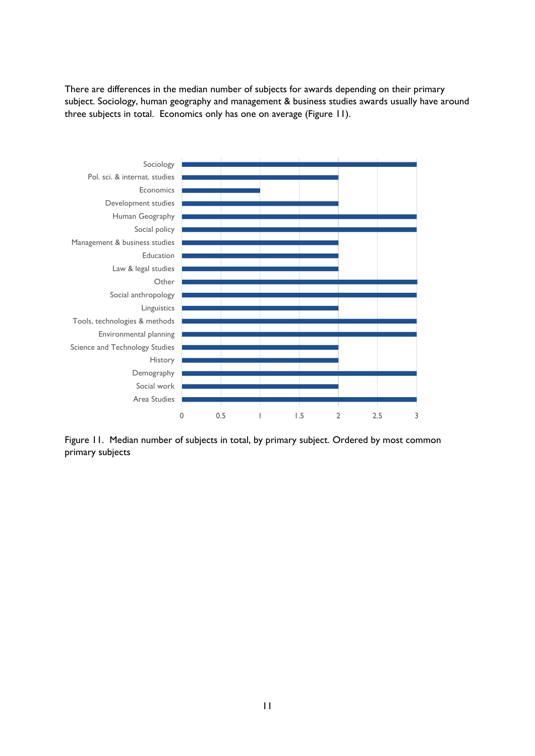There are differences in the median number of subjects for awards depending on their primary subject. Sociology, human geography and management & business studies awards usually have around three subjects in total. Economics only has one on average (Figure 11).



Figure 11. Median number of subjects in total, by primary subject. Ordered by most common primary subjects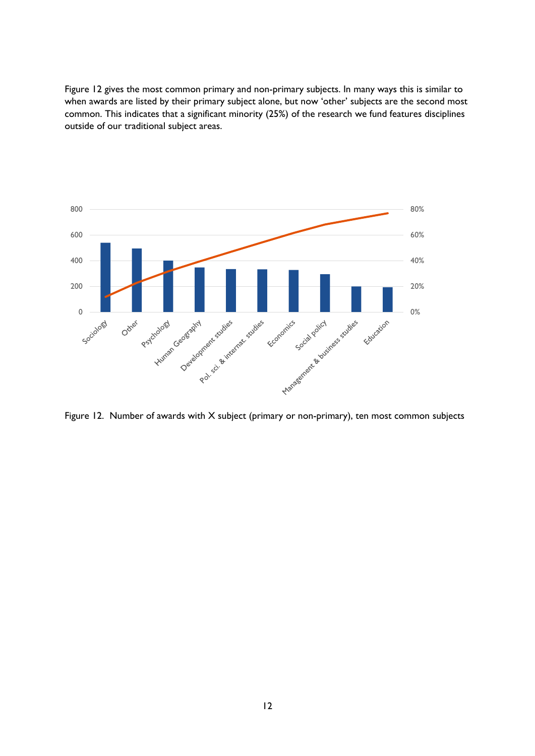Figure 12 gives the most common primary and non-primary subjects. In many ways this is similar to when awards are listed by their primary subject alone, but now 'other' subjects are the second most common. This indicates that a significant minority (25%) of the research we fund features disciplines outside of our traditional subject areas.



Figure 12. Number of awards with X subject (primary or non-primary), ten most common subjects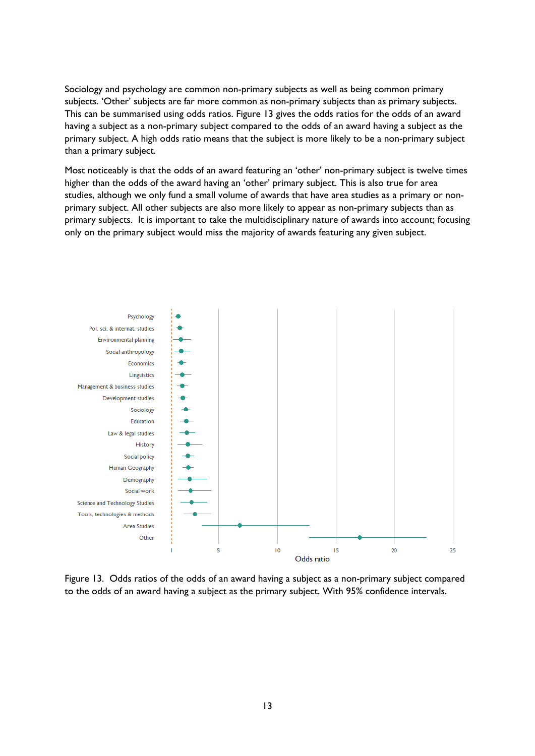Sociology and psychology are common non-primary subjects as well as being common primary subjects. 'Other' subjects are far more common as non-primary subjects than as primary subjects. This can be summarised using odds ratios. Figure 13 gives the odds ratios for the odds of an award having a subject as a non-primary subject compared to the odds of an award having a subject as the primary subject. A high odds ratio means that the subject is more likely to be a non-primary subject than a primary subject.

Most noticeably is that the odds of an award featuring an 'other' non-primary subject is twelve times higher than the odds of the award having an 'other' primary subject. This is also true for area studies, although we only fund a small volume of awards that have area studies as a primary or nonprimary subject. All other subjects are also more likely to appear as non-primary subjects than as primary subjects. It is important to take the multidisciplinary nature of awards into account; focusing only on the primary subject would miss the majority of awards featuring any given subject.



Figure 13. Odds ratios of the odds of an award having a subject as a non-primary subject compared to the odds of an award having a subject as the primary subject. With 95% confidence intervals.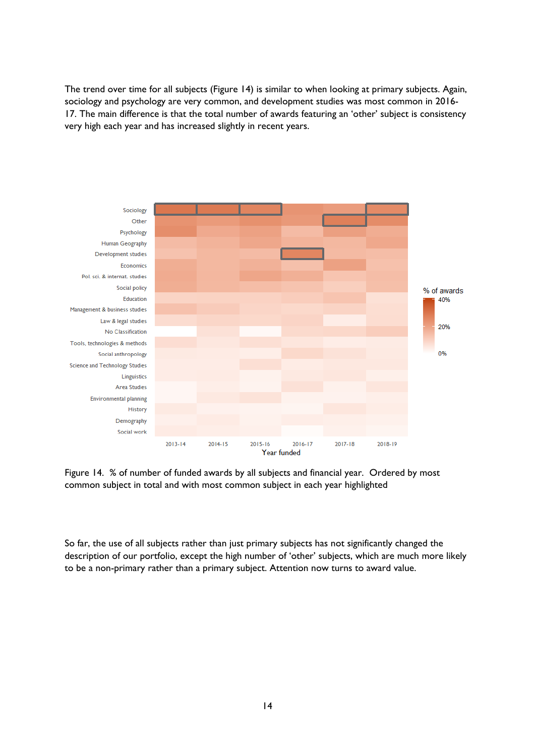The trend over time for all subjects (Figure 14) is similar to when looking at primary subjects. Again, sociology and psychology are very common, and development studies was most common in 2016- 17. The main difference is that the total number of awards featuring an 'other' subject is consistency very high each year and has increased slightly in recent years.



Figure 14. % of number of funded awards by all subjects and financial year. Ordered by most common subject in total and with most common subject in each year highlighted

So far, the use of all subjects rather than just primary subjects has not significantly changed the description of our portfolio, except the high number of 'other' subjects, which are much more likely to be a non-primary rather than a primary subject. Attention now turns to award value.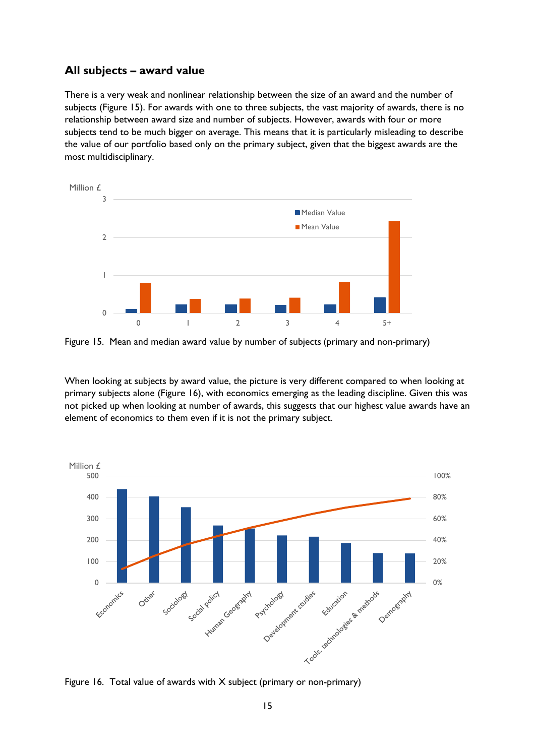### <span id="page-14-0"></span>**All subjects – award value**

There is a very weak and nonlinear relationship between the size of an award and the number of subjects (Figure 15). For awards with one to three subjects, the vast majority of awards, there is no relationship between award size and number of subjects. However, awards with four or more subjects tend to be much bigger on average. This means that it is particularly misleading to describe the value of our portfolio based only on the primary subject, given that the biggest awards are the most multidisciplinary.



Figure 15. Mean and median award value by number of subjects (primary and non-primary)

When looking at subjects by award value, the picture is very different compared to when looking at primary subjects alone (Figure 16), with economics emerging as the leading discipline. Given this was not picked up when looking at number of awards, this suggests that our highest value awards have an element of economics to them even if it is not the primary subject.



Figure 16. Total value of awards with X subject (primary or non-primary)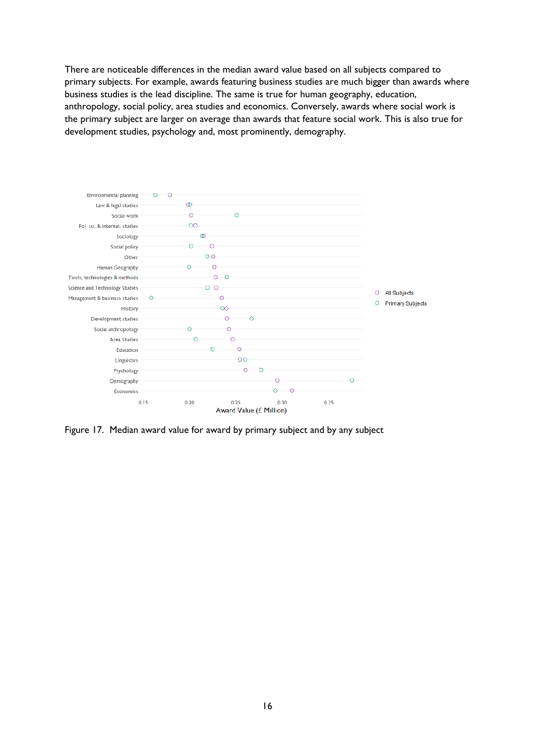There are noticeable differences in the median award value based on all subjects compared to primary subjects. For example, awards featuring business studies are much bigger than awards where business studies is the lead discipline. The same is true for human geography, education, anthropology, social policy, area studies and economics. Conversely, awards where social work is the primary subject are larger on average than awards that feature social work. This is also true for development studies, psychology and, most prominently, demography.



Figure 17. Median award value for award by primary subject and by any subject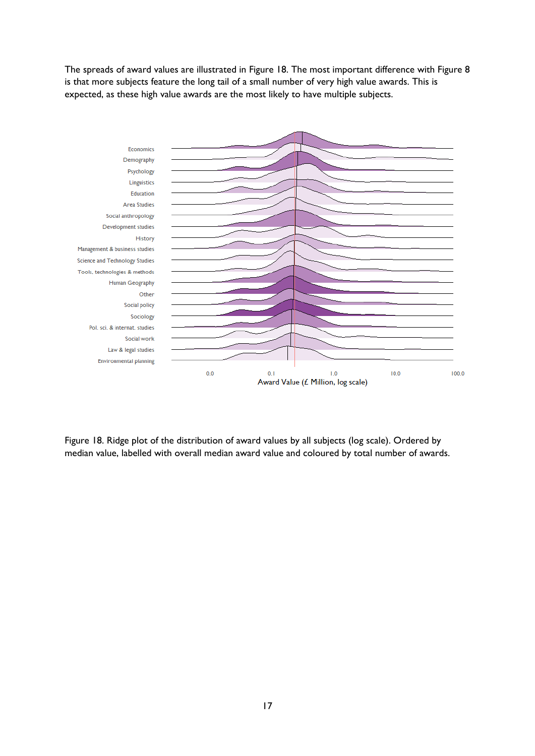The spreads of award values are illustrated in Figure 18. The most important difference with Figure 8 is that more subjects feature the long tail of a small number of very high value awards. This is expected, as these high value awards are the most likely to have multiple subjects.



Figure 18. Ridge plot of the distribution of award values by all subjects (log scale). Ordered by median value, labelled with overall median award value and coloured by total number of awards.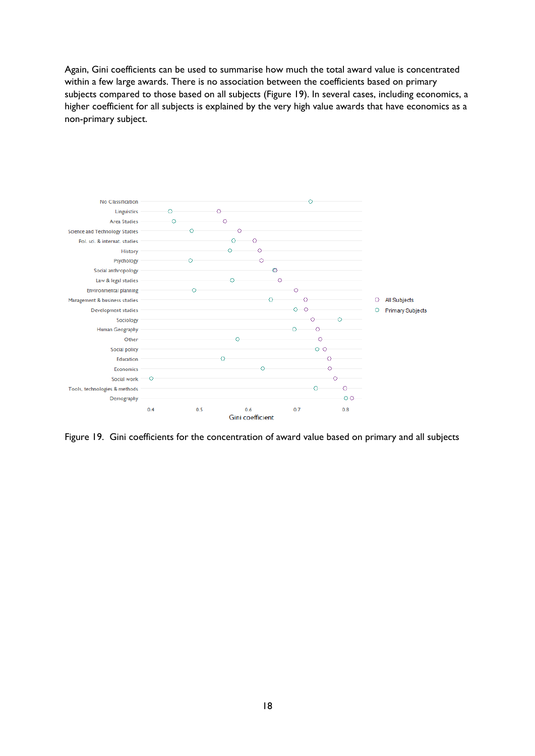Again, Gini coefficients can be used to summarise how much the total award value is concentrated within a few large awards. There is no association between the coefficients based on primary subjects compared to those based on all subjects (Figure 19). In several cases, including economics, a higher coefficient for all subjects is explained by the very high value awards that have economics as a non-primary subject.



Figure 19. Gini coefficients for the concentration of award value based on primary and all subjects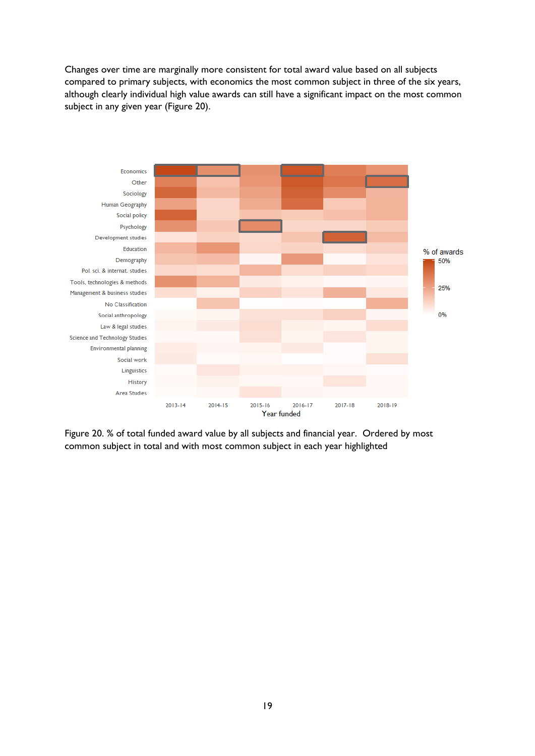Changes over time are marginally more consistent for total award value based on all subjects compared to primary subjects, with economics the most common subject in three of the six years, although clearly individual high value awards can still have a significant impact on the most common subject in any given year (Figure 20).



Figure 20. % of total funded award value by all subjects and financial year. Ordered by most common subject in total and with most common subject in each year highlighted